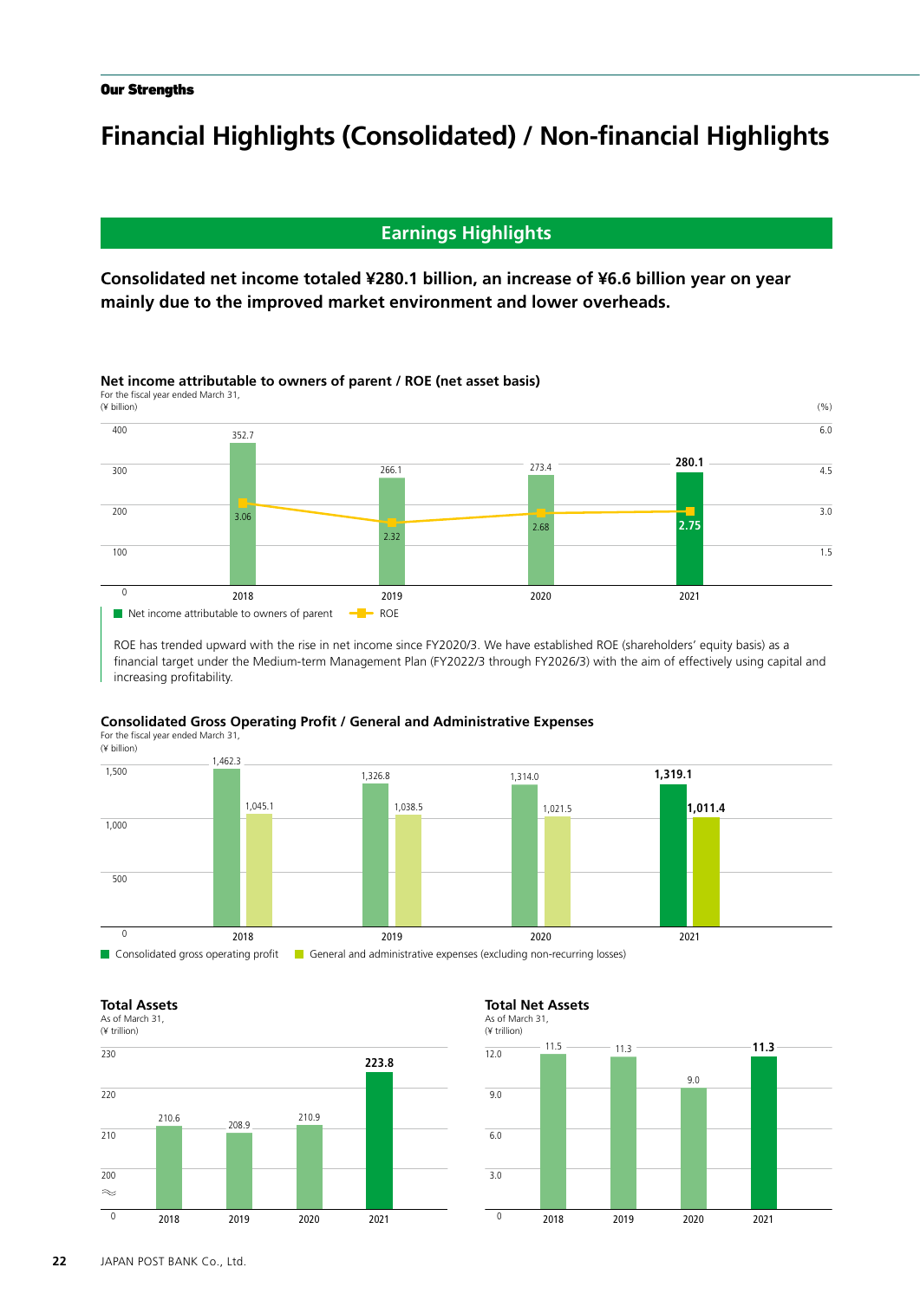# **Financial Highlights (Consolidated) / Non-financial Highlights**

# **Earnings Highlights**

**Consolidated net income totaled ¥280.1 billion, an increase of ¥6.6 billion year on year mainly due to the improved market environment and lower overheads.**

# **Net income attributable to owners of parent / ROE (net asset basis)**

For the fiscal year ended March 31,



ROE has trended upward with the rise in net income since FY2020/3. We have established ROE (shareholders' equity basis) as a financial target under the Medium-term Management Plan (FY2022/3 through FY2026/3) with the aim of effectively using capital and increasing profitability.

## **Consolidated Gross Operating Profit / General and Administrative Expenses**

For the fiscal year ended March 31, (¥ billion)



### **Total Assets**